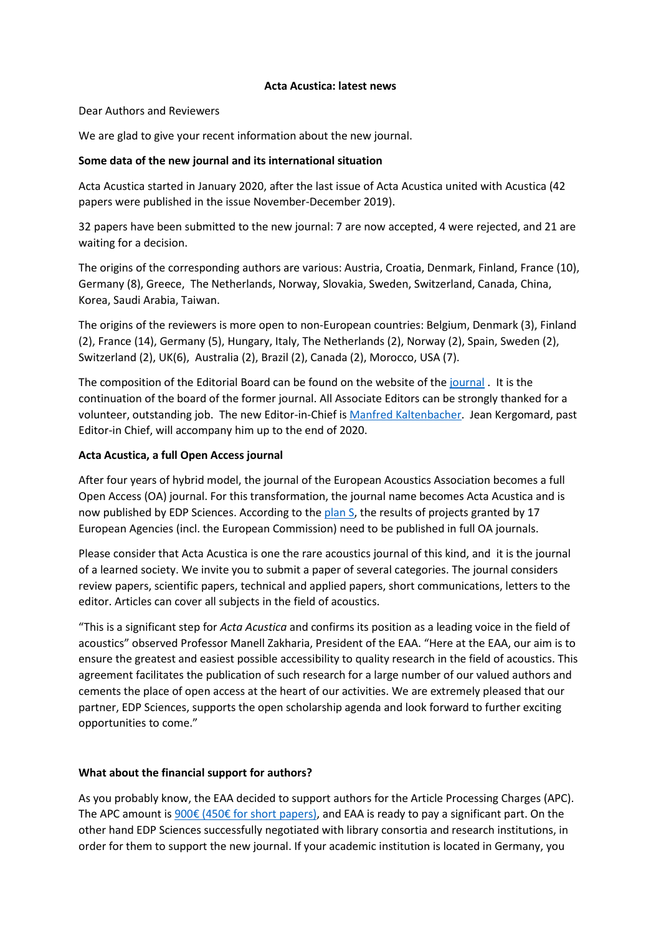#### **Acta Acustica: latest news**

Dear Authors and Reviewers

We are glad to give your recent information about the new journal.

### **Some data of the new journal and its international situation**

Acta Acustica started in January 2020, after the last issue of Acta Acustica united with Acustica (42 papers were published in the issue November-December 2019).

32 papers have been submitted to the new journal: 7 are now accepted, 4 were rejected, and 21 are waiting for a decision.

The origins of the corresponding authors are various: Austria, Croatia, Denmark, Finland, France (10), Germany (8), Greece, The Netherlands, Norway, Slovakia, Sweden, Switzerland, Canada, China, Korea, Saudi Arabia, Taiwan.

The origins of the reviewers is more open to non-European countries: Belgium, Denmark (3), Finland (2), France (14), Germany (5), Hungary, Italy, The Netherlands (2), Norway (2), Spain, Sweden (2), Switzerland (2), UK(6), Australia (2), Brazil (2), Canada (2), Morocco, USA (7).

The composition of the Editorial Board can be found on the website of the [journal](https://acta-acustica.edpsciences.org/) . It is the continuation of the board of the former journal. All Associate Editors can be strongly thanked for a volunteer, outstanding job. The new Editor-in-Chief is [Manfred Kaltenbacher.](https://www.edpsciences.org/en/news-highlights/2014-new-editor-in-chief-for-acta-acustica.) Jean Kergomard, past Editor-in Chief, will accompany him up to the end of 2020.

## **Acta Acustica, a full Open Access journal**

After four years of hybrid model, the journal of the European Acoustics Association becomes a full Open Access (OA) journal. For this transformation, the journal name becomes Acta Acustica and is now published by EDP Sciences. According to the [plan S,](https://www.coalition-s.org/about/) the results of projects granted by 17 European Agencies (incl. the European Commission) need to be published in full OA journals.

Please consider that Acta Acustica is one the rare acoustics journal of this kind, and it is the journal of a learned society. We invite you to submit a paper of several categories. The journal considers review papers, scientific papers, technical and applied papers, short communications, letters to the editor. Articles can cover all subjects in the field of acoustics.

"This is a significant step for *Acta Acustica* and confirms its position as a leading voice in the field of acoustics" observed Professor Manell Zakharia, President of the EAA. "Here at the EAA, our aim is to ensure the greatest and easiest possible accessibility to quality research in the field of acoustics. This agreement facilitates the publication of such research for a large number of our valued authors and cements the place of open access at the heart of our activities. We are extremely pleased that our partner, EDP Sciences, supports the open scholarship agenda and look forward to further exciting opportunities to come."

#### **What about the financial support for authors?**

As you probably know, the EAA decided to support authors for the Article Processing Charges (APC). The APC amount is 900€ [\(450€ for short papers\)](https://www.edpsciences.org/en/publication-charges#aacus), and EAA is ready to pay a significant part. On the other hand EDP Sciences successfully negotiated with library consortia and research institutions, in order for them to support the new journal. If your academic institution is located in Germany, you